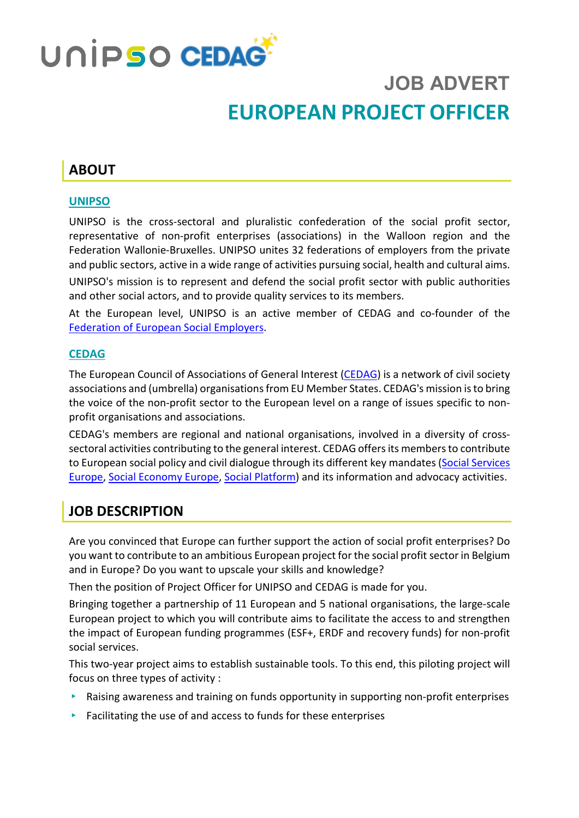

# **JOB ADVERT EUROPEAN PROJECT OFFICER**

# **ABOUT**

#### **UNIPSO**

UNIPSO is the cross-sectoral and pluralistic confederation of the social profit sector, representative of non-profit enterprises (associations) in the Walloon region and the Federation Wallonie-Bruxelles. UNIPSO unites 32 federations of employers from the private and public sectors, active in a wide range of activities pursuing social, health and cultural aims.

UNIPSO's mission is to represent and defend the social profit sector with public authorities and other social actors, and to provide quality services to its members.

At the European level, UNIPSO is an active member of CEDAG and co-founder of the [Federation of European Social Employers.](http://socialemployers.eu/en/)

#### **CEDAG**

The European Council of Associations of General Interest [\(CEDAG\)](http://www.cedag-eu.org/) is a network of civil society associations and (umbrella) organisations from EU Member States. CEDAG's mission is to bring the voice of the non-profit sector to the European level on a range of issues specific to nonprofit organisations and associations.

CEDAG's members are regional and national organisations, involved in a diversity of crosssectoral activities contributing to the general interest. CEDAG offersits members to contribute to European social policy and civil dialogue through its different key mandates [\(Social Services](https://www.socialserviceseurope.eu/)  [Europe,](https://www.socialserviceseurope.eu/) [Social Economy Europe,](https://www.socialeconomy.eu.org/) [Social Platform\)](https://www.socialplatform.org/) and its information and advocacy activities.

### **JOB DESCRIPTION**

Are you convinced that Europe can further support the action of social profit enterprises? Do you want to contribute to an ambitious European project for the social profit sector in Belgium and in Europe? Do you want to upscale your skills and knowledge?

Then the position of Project Officer for UNIPSO and CEDAG is made for you.

Bringing together a partnership of 11 European and 5 national organisations, the large-scale European project to which you will contribute aims to facilitate the access to and strengthen the impact of European funding programmes (ESF+, ERDF and recovery funds) for non-profit social services.

This two-year project aims to establish sustainable tools. To this end, this piloting project will focus on three types of activity :

- ▸ Raising awareness and training on funds opportunity in supporting non-profit enterprises
- $\triangleright$  Facilitating the use of and access to funds for these enterprises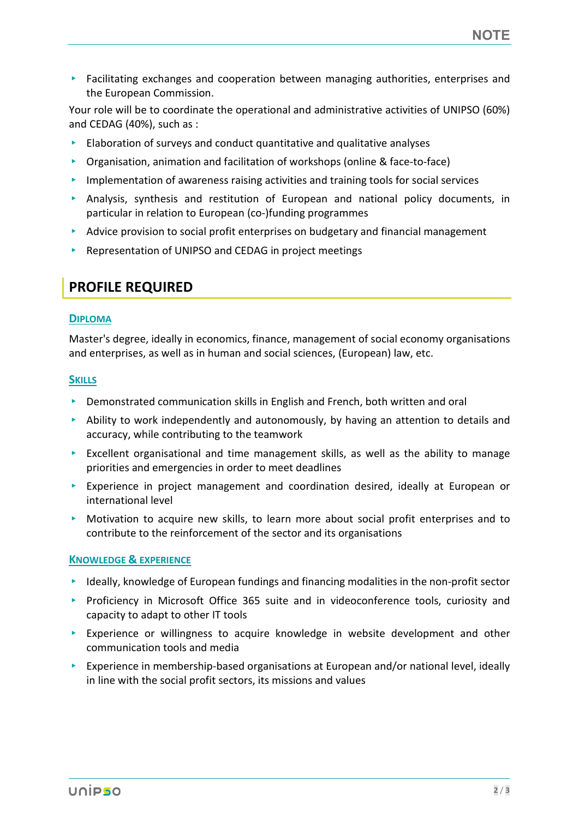▸ Facilitating exchanges and cooperation between managing authorities, enterprises and the European Commission.

Your role will be to coordinate the operational and administrative activities of UNIPSO (60%) and CEDAG (40%), such as :

- ▸ Elaboration of surveys and conduct quantitative and qualitative analyses
- ▸ Organisation, animation and facilitation of workshops (online & face-to-face)
- ▸ Implementation of awareness raising activities and training tools for social services
- $\triangleright$  Analysis, synthesis and restitution of European and national policy documents, in particular in relation to European (co-)funding programmes
- ▸ Advice provision to social profit enterprises on budgetary and financial management
- ▸ Representation of UNIPSO and CEDAG in project meetings

### **PROFILE REQUIRED**

#### **DIPLOMA**

Master's degree, ideally in economics, finance, management of social economy organisations and enterprises, as well as in human and social sciences, (European) law, etc.

#### **SKILLS**

- ▸ Demonstrated communication skills in English and French, both written and oral
- $\triangleright$  Ability to work independently and autonomously, by having an attention to details and accuracy, while contributing to the teamwork
- $\triangleright$  Excellent organisational and time management skills, as well as the ability to manage priorities and emergencies in order to meet deadlines
- ▸ Experience in project management and coordination desired, ideally at European or international level
- ▸ Motivation to acquire new skills, to learn more about social profit enterprises and to contribute to the reinforcement of the sector and its organisations

#### **KNOWLEDGE & EXPERIENCE**

- ▸ Ideally, knowledge of European fundings and financing modalities in the non-profit sector
- ▸ Proficiency in Microsoft Office 365 suite and in videoconference tools, curiosity and capacity to adapt to other IT tools
- ▸ Experience or willingness to acquire knowledge in website development and other communication tools and media
- ▸ Experience in membership-based organisations at European and/or national level, ideally in line with the social profit sectors, its missions and values